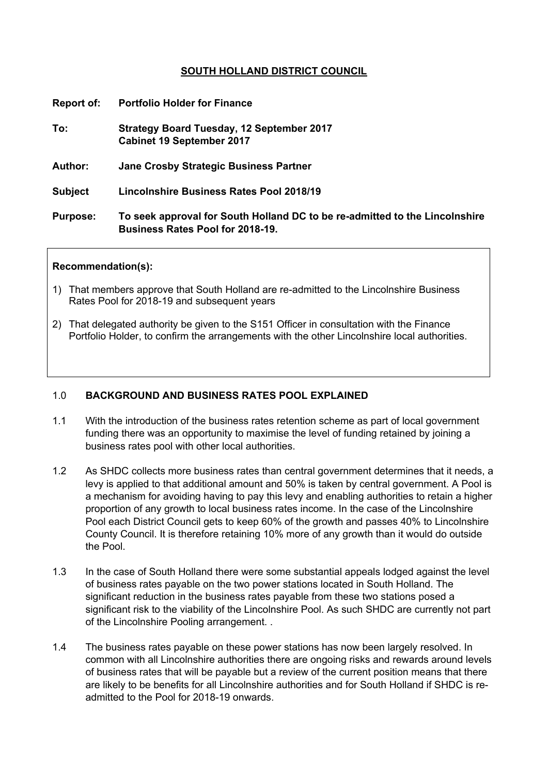# **SOUTH HOLLAND DISTRICT COUNCIL**

| <b>Report of:</b> | <b>Portfolio Holder for Finance</b>                                                                                    |
|-------------------|------------------------------------------------------------------------------------------------------------------------|
| To:               | <b>Strategy Board Tuesday, 12 September 2017</b><br><b>Cabinet 19 September 2017</b>                                   |
| <b>Author:</b>    | Jane Crosby Strategic Business Partner                                                                                 |
| <b>Subject</b>    | <b>Lincolnshire Business Rates Pool 2018/19</b>                                                                        |
| <b>Purpose:</b>   | To seek approval for South Holland DC to be re-admitted to the Lincolnshire<br><b>Business Rates Pool for 2018-19.</b> |

#### **Recommendation(s):**

- 1) That members approve that South Holland are re-admitted to the Lincolnshire Business Rates Pool for 2018-19 and subsequent years
- 2) That delegated authority be given to the S151 Officer in consultation with the Finance Portfolio Holder, to confirm the arrangements with the other Lincolnshire local authorities.

### 1.0 **BACKGROUND AND BUSINESS RATES POOL EXPLAINED**

- 1.1 With the introduction of the business rates retention scheme as part of local government funding there was an opportunity to maximise the level of funding retained by joining a business rates pool with other local authorities.
- 1.2 As SHDC collects more business rates than central government determines that it needs, a levy is applied to that additional amount and 50% is taken by central government. A Pool is a mechanism for avoiding having to pay this levy and enabling authorities to retain a higher proportion of any growth to local business rates income. In the case of the Lincolnshire Pool each District Council gets to keep 60% of the growth and passes 40% to Lincolnshire County Council. It is therefore retaining 10% more of any growth than it would do outside the Pool.
- 1.3 In the case of South Holland there were some substantial appeals lodged against the level of business rates payable on the two power stations located in South Holland. The significant reduction in the business rates payable from these two stations posed a significant risk to the viability of the Lincolnshire Pool. As such SHDC are currently not part of the Lincolnshire Pooling arrangement. .
- 1.4 The business rates payable on these power stations has now been largely resolved. In common with all Lincolnshire authorities there are ongoing risks and rewards around levels of business rates that will be payable but a review of the current position means that there are likely to be benefits for all Lincolnshire authorities and for South Holland if SHDC is readmitted to the Pool for 2018-19 onwards.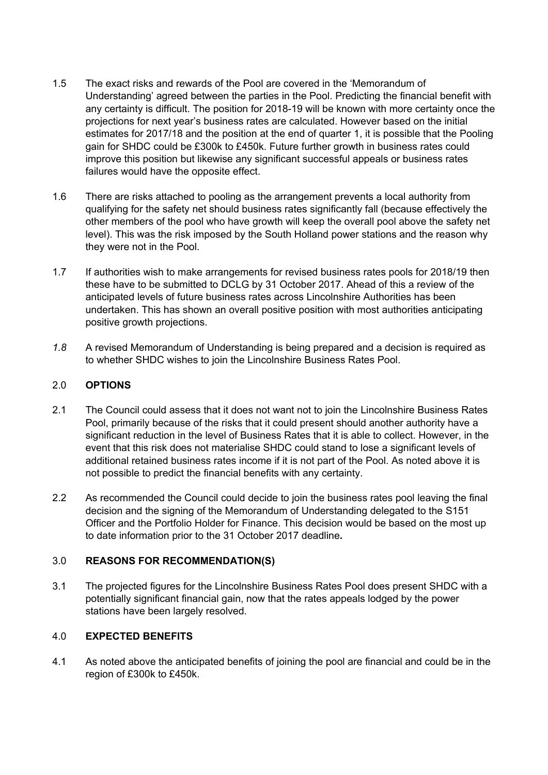- 1.5 The exact risks and rewards of the Pool are covered in the 'Memorandum of Understanding' agreed between the parties in the Pool. Predicting the financial benefit with any certainty is difficult. The position for 2018-19 will be known with more certainty once the projections for next year's business rates are calculated. However based on the initial estimates for 2017/18 and the position at the end of quarter 1, it is possible that the Pooling gain for SHDC could be £300k to £450k. Future further growth in business rates could improve this position but likewise any significant successful appeals or business rates failures would have the opposite effect.
- 1.6 There are risks attached to pooling as the arrangement prevents a local authority from qualifying for the safety net should business rates significantly fall (because effectively the other members of the pool who have growth will keep the overall pool above the safety net level). This was the risk imposed by the South Holland power stations and the reason why they were not in the Pool.
- 1.7 If authorities wish to make arrangements for revised business rates pools for 2018/19 then these have to be submitted to DCLG by 31 October 2017. Ahead of this a review of the anticipated levels of future business rates across Lincolnshire Authorities has been undertaken. This has shown an overall positive position with most authorities anticipating positive growth projections.
- *1.8* A revised Memorandum of Understanding is being prepared and a decision is required as to whether SHDC wishes to join the Lincolnshire Business Rates Pool.

# 2.0 **OPTIONS**

- 2.1 The Council could assess that it does not want not to join the Lincolnshire Business Rates Pool, primarily because of the risks that it could present should another authority have a significant reduction in the level of Business Rates that it is able to collect. However, in the event that this risk does not materialise SHDC could stand to lose a significant levels of additional retained business rates income if it is not part of the Pool. As noted above it is not possible to predict the financial benefits with any certainty.
- 2.2 As recommended the Council could decide to join the business rates pool leaving the final decision and the signing of the Memorandum of Understanding delegated to the S151 Officer and the Portfolio Holder for Finance. This decision would be based on the most up to date information prior to the 31 October 2017 deadline**.**

# 3.0 **REASONS FOR RECOMMENDATION(S)**

3.1 The projected figures for the Lincolnshire Business Rates Pool does present SHDC with a potentially significant financial gain, now that the rates appeals lodged by the power stations have been largely resolved.

# 4.0 **EXPECTED BENEFITS**

4.1 As noted above the anticipated benefits of joining the pool are financial and could be in the region of £300k to £450k.